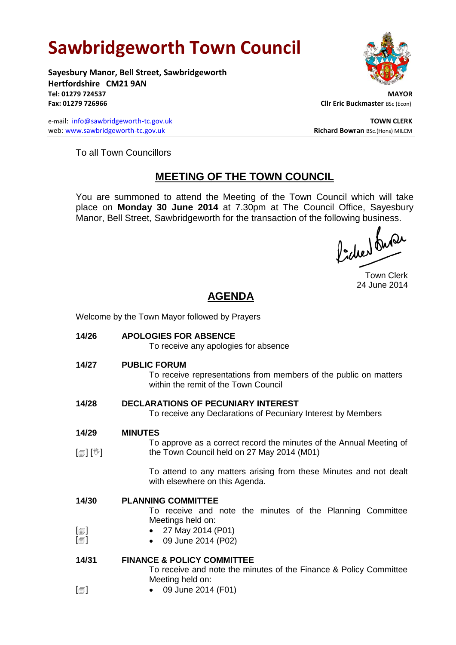# **Sawbridgeworth Town Council**

Welcome by the Town Mayor followed by Prayers

**Sayesbury Manor, Bell Street, Sawbridgeworth Hertfordshire CM21 9AN Tel: 01279 724537 MAYOR Fax: 01279 726966 Cllr Eric Buckmaster BSc (Econ)** 

e-mail: [info@sawbridgeworth-tc.gov.uk](mailto:info@sawbridgeworth-tc.gov.uk) **TOWN CLERK TOWN CLERK** web: www.sawbridgeworth-tc.gov.uk **Richard Bowran** BSc.(Hons) MILCM



To all Town Councillors

## **MEETING OF THE TOWN COUNCIL**

You are summoned to attend the Meeting of the Town Council which will take place on **Monday 30 June 2014** at 7.30pm at The Council Office, Sayesbury Manor, Bell Street, Sawbridgeworth for the transaction of the following business.<br>  $\int_{\mathbb{R}} \int_{\mathbb{R}} \mathbf{d} \mathbf{d} \mathbf{d} \mathbf{d}$ 

Town Clerk 24 June 2014

# **AGENDA**

| 14/26                                                | <b>APOLOGIES FOR ABSENCE</b><br>To receive any apologies for absence                                                            |
|------------------------------------------------------|---------------------------------------------------------------------------------------------------------------------------------|
| 14/27                                                | <b>PUBLIC FORUM</b><br>To receive representations from members of the public on matters<br>within the remit of the Town Council |
| 14/28                                                | <b>DECLARATIONS OF PECUNIARY INTEREST</b><br>To receive any Declarations of Pecuniary Interest by Members                       |
| 14/29                                                | <b>MINUTES</b>                                                                                                                  |
|                                                      | To approve as a correct record the minutes of the Annual Meeting of                                                             |
| [@] [V]                                              | the Town Council held on 27 May 2014 (M01)                                                                                      |
|                                                      | To attend to any matters arising from these Minutes and not dealt<br>with elsewhere on this Agenda.                             |
| 14/30                                                | <b>PLANNING COMMITTEE</b><br>To receive and note the minutes of the Planning Committee<br>Meetings held on:                     |
| $\lbrack \oplus \rbrack$<br>$\lbrack \oplus \rbrack$ | 27 May 2014 (P01)<br>09 June 2014 (P02)                                                                                         |
| 14/31                                                | <b>FINANCE &amp; POLICY COMMITTEE</b><br>To receive and note the minutes of the Finance & Policy Committee<br>Meeting held on:  |
| $\lbrack \bigcirc \rbrack$                           | 09 June 2014 (F01)                                                                                                              |